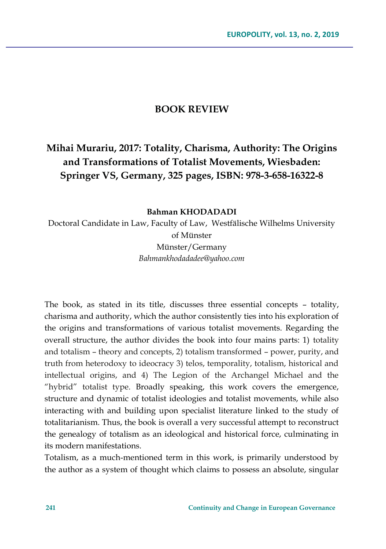## **BOOK REVIEW**

**Mihai Murariu, 2017: Totality, Charisma, Authority: The Origins and Transformations of Totalist Movements, Wiesbaden: Springer VS, Germany, 325 pages, ISBN: 978-3-658-16322-8**

**Bahman KHODADADI**

Doctoral Candidate in Law, Faculty of Law, Westfälische Wilhelms University of Münster Münster/Germany *Bahmankhodadadee@yahoo.com*

The book, as stated in its title, discusses three essential concepts – totality, charisma and authority, which the author consistently ties into his exploration of the origins and transformations of various totalist movements. Regarding the overall structure, the author divides the book into four mains parts: 1) totality and totalism – theory and concepts, 2) totalism transformed – power, purity, and truth from heterodoxy to ideocracy 3) telos, temporality, totalism, historical and intellectual origins, and 4) The Legion of the Archangel Michael and the "hybrid" totalist type. Broadly speaking, this work covers the emergence, structure and dynamic of totalist ideologies and totalist movements, while also interacting with and building upon specialist literature linked to the study of totalitarianism. Thus, the book is overall a very successful attempt to reconstruct the genealogy of totalism as an ideological and historical force, culminating in its modern manifestations.

Totalism, as a much-mentioned term in this work, is primarily understood by the author as a system of thought which claims to possess an absolute, singular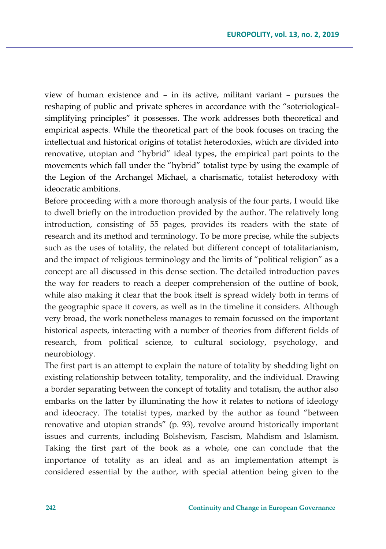view of human existence and – in its active, militant variant – pursues the reshaping of public and private spheres in accordance with the "soteriologicalsimplifying principles" it possesses. The work addresses both theoretical and empirical aspects. While the theoretical part of the book focuses on tracing the intellectual and historical origins of totalist heterodoxies, which are divided into renovative, utopian and "hybrid" ideal types, the empirical part points to the movements which fall under the "hybrid" totalist type by using the example of the Legion of the Archangel Michael, a charismatic, totalist heterodoxy with ideocratic ambitions.

Before proceeding with a more thorough analysis of the four parts, I would like to dwell briefly on the introduction provided by the author. The relatively long introduction, consisting of 55 pages, provides its readers with the state of research and its method and terminology. To be more precise, while the subjects such as the uses of totality, the related but different concept of totalitarianism, and the impact of religious terminology and the limits of "political religion" as a concept are all discussed in this dense section. The detailed introduction paves the way for readers to reach a deeper comprehension of the outline of book, while also making it clear that the book itself is spread widely both in terms of the geographic space it covers, as well as in the timeline it considers. Although very broad, the work nonetheless manages to remain focussed on the important historical aspects, interacting with a number of theories from different fields of research, from political science, to cultural sociology, psychology, and neurobiology.

The first part is an attempt to explain the nature of totality by shedding light on existing relationship between totality, temporality, and the individual. Drawing a border separating between the concept of totality and totalism, the author also embarks on the latter by illuminating the how it relates to notions of ideology and ideocracy. The totalist types, marked by the author as found "between renovative and utopian strands" (p. 93), revolve around historically important issues and currents, including Bolshevism, Fascism, Mahdism and Islamism. Taking the first part of the book as a whole, one can conclude that the importance of totality as an ideal and as an implementation attempt is considered essential by the author, with special attention being given to the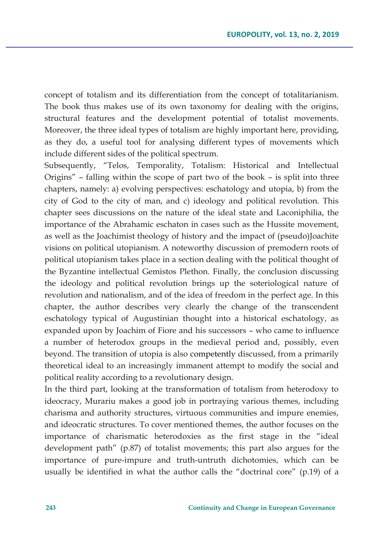concept of totalism and its differentiation from the concept of totalitarianism. The book thus makes use of its own taxonomy for dealing with the origins, structural features and the development potential of totalist movements. Moreover, the three ideal types of totalism are highly important here, providing, as they do, a useful tool for analysing different types of movements which include different sides of the political spectrum.

Subsequently, "Telos, Temporality, Totalism: Historical and Intellectual Origins" – falling within the scope of part two of the book – is split into three chapters, namely: a) evolving perspectives: eschatology and utopia, b) from the city of God to the city of man, and c) ideology and political revolution. This chapter sees discussions on the nature of the ideal state and Laconiphilia, the importance of the Abrahamic eschaton in cases such as the Hussite movement, as well as the Joachimist theology of history and the impact of (pseudo)Joachite visions on political utopianism. A noteworthy discussion of premodern roots of political utopianism takes place in a section dealing with the political thought of the Byzantine intellectual Gemistos Plethon. Finally, the conclusion discussing the ideology and political revolution brings up the soteriological nature of revolution and nationalism, and of the idea of freedom in the perfect age. In this chapter, the author describes very clearly the change of the transcendent eschatology typical of Augustinian thought into a historical eschatology, as expanded upon by Joachim of Fiore and his successors – who came to influence a number of heterodox groups in the medieval period and, possibly, even beyond. The transition of utopia is also competently discussed, from a primarily theoretical ideal to an increasingly immanent attempt to modify the social and political reality according to a revolutionary design.

In the third part, looking at the transformation of totalism from heterodoxy to ideocracy, Murariu makes a good job in portraying various themes, including charisma and authority structures, virtuous communities and impure enemies, and ideocratic structures. To cover mentioned themes, the author focuses on the importance of charismatic heterodoxies as the first stage in the "ideal development path" (p.87) of totalist movements; this part also argues for the importance of pure-impure and truth-untruth dichotomies, which can be usually be identified in what the author calls the "doctrinal core" (p.19) of a